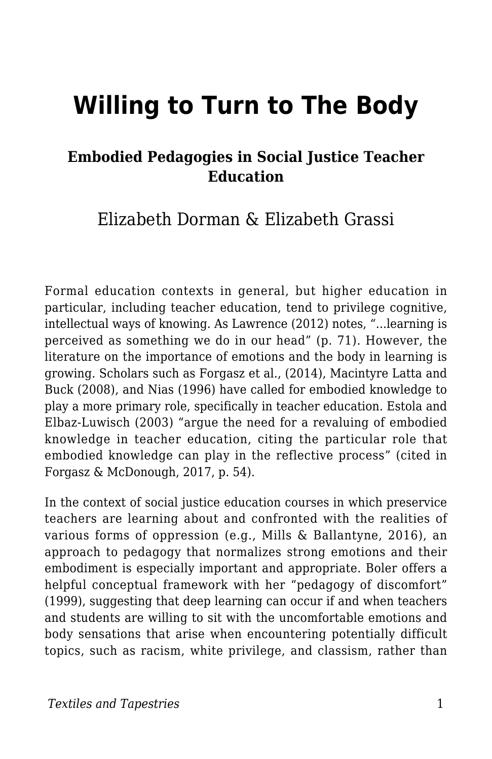# **Willing to Turn to The Body**

#### **Embodied Pedagogies in Social Justice Teacher Education**

Elizabeth Dorman & Elizabeth Grassi

Formal education contexts in general, but higher education in particular, including teacher education, tend to privilege cognitive, intellectual ways of knowing. As Lawrence (2012) notes, "...learning is perceived as something we do in our head" (p. 71). However, the literature on the importance of emotions and the body in learning is growing. Scholars such as Forgasz et al., (2014), Macintyre Latta and Buck (2008), and Nias (1996) have called for embodied knowledge to play a more primary role, specifically in teacher education. Estola and Elbaz-Luwisch (2003) "argue the need for a revaluing of embodied knowledge in teacher education, citing the particular role that embodied knowledge can play in the reflective process" (cited in Forgasz & McDonough, 2017, p. 54).

In the context of social justice education courses in which preservice teachers are learning about and confronted with the realities of various forms of oppression (e.g., Mills & Ballantyne, 2016), an approach to pedagogy that normalizes strong emotions and their embodiment is especially important and appropriate. Boler offers a helpful conceptual framework with her "pedagogy of discomfort" (1999), suggesting that deep learning can occur if and when teachers and students are willing to sit with the uncomfortable emotions and body sensations that arise when encountering potentially difficult topics, such as racism, white privilege, and classism, rather than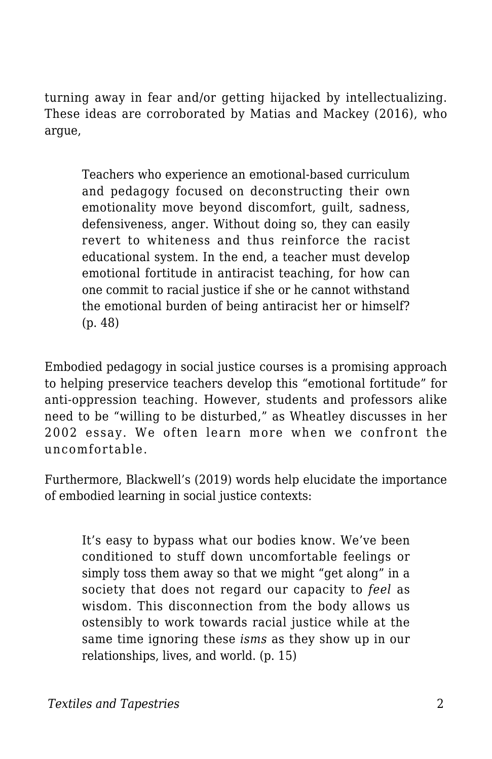turning away in fear and/or getting hijacked by intellectualizing. These ideas are corroborated by Matias and Mackey (2016), who argue,

Teachers who experience an emotional-based curriculum and pedagogy focused on deconstructing their own emotionality move beyond discomfort, guilt, sadness, defensiveness, anger. Without doing so, they can easily revert to whiteness and thus reinforce the racist educational system. In the end, a teacher must develop emotional fortitude in antiracist teaching, for how can one commit to racial justice if she or he cannot withstand the emotional burden of being antiracist her or himself? (p. 48)

Embodied pedagogy in social justice courses is a promising approach to helping preservice teachers develop this "emotional fortitude" for anti-oppression teaching. However, students and professors alike need to be "willing to be disturbed," as Wheatley discusses in her 2002 essay. We often learn more when we confront the uncomfortable.

Furthermore, Blackwell's (2019) words help elucidate the importance of embodied learning in social justice contexts:

It's easy to bypass what our bodies know. We've been conditioned to stuff down uncomfortable feelings or simply toss them away so that we might "get along" in a society that does not regard our capacity to *feel* as wisdom. This disconnection from the body allows us ostensibly to work towards racial justice while at the same time ignoring these *isms* as they show up in our relationships, lives, and world. (p. 15)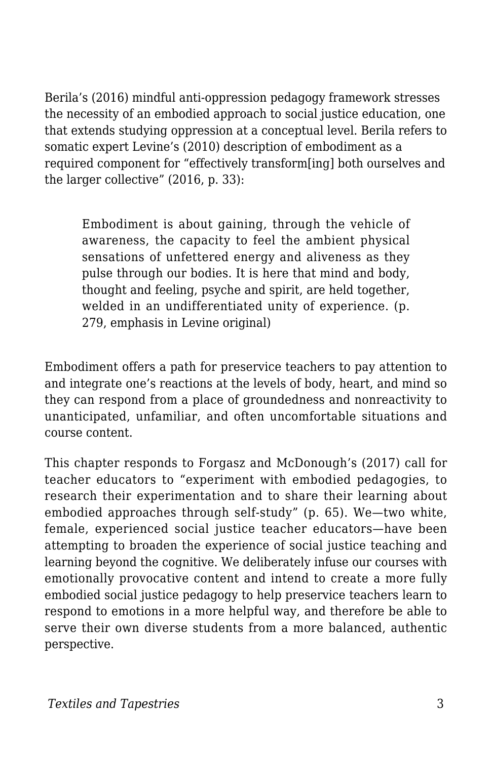Berila's (2016) mindful anti-oppression pedagogy framework stresses the necessity of an embodied approach to social justice education, one that extends studying oppression at a conceptual level. Berila refers to somatic expert Levine's (2010) description of embodiment as a required component for "effectively transform[ing] both ourselves and the larger collective" (2016, p. 33):

Embodiment is about gaining, through the vehicle of awareness, the capacity to feel the ambient physical sensations of unfettered energy and aliveness as they pulse through our bodies. It is here that mind and body, thought and feeling, psyche and spirit, are held together, welded in an undifferentiated unity of experience. (p. 279, emphasis in Levine original)

Embodiment offers a path for preservice teachers to pay attention to and integrate one's reactions at the levels of body, heart, and mind so they can respond from a place of groundedness and nonreactivity to unanticipated, unfamiliar, and often uncomfortable situations and course content.

This chapter responds to Forgasz and McDonough's (2017) call for teacher educators to "experiment with embodied pedagogies, to research their experimentation and to share their learning about embodied approaches through self-study" (p. 65). We—two white, female, experienced social justice teacher educators—have been attempting to broaden the experience of social justice teaching and learning beyond the cognitive. We deliberately infuse our courses with emotionally provocative content and intend to create a more fully embodied social justice pedagogy to help preservice teachers learn to respond to emotions in a more helpful way, and therefore be able to serve their own diverse students from a more balanced, authentic perspective.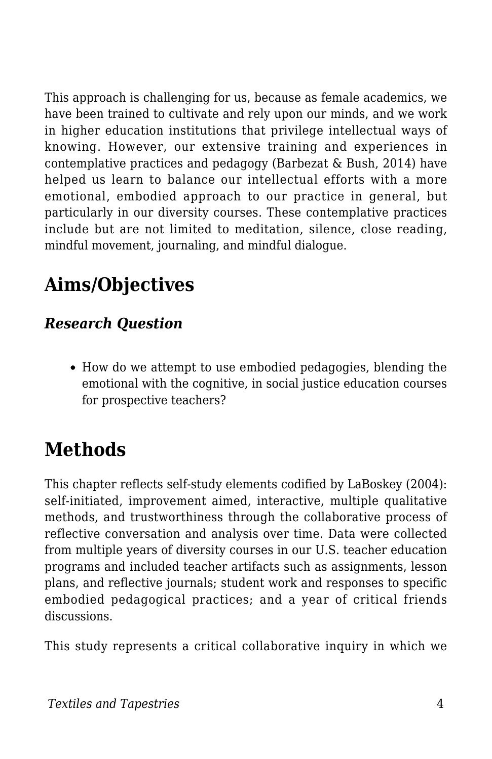This approach is challenging for us, because as female academics, we have been trained to cultivate and rely upon our minds, and we work in higher education institutions that privilege intellectual ways of knowing. However, our extensive training and experiences in contemplative practices and pedagogy (Barbezat & Bush, 2014) have helped us learn to balance our intellectual efforts with a more emotional, embodied approach to our practice in general, but particularly in our diversity courses. These contemplative practices include but are not limited to meditation, silence, close reading, mindful movement, journaling, and mindful dialogue.

# **Aims/Objectives**

#### *Research Question*

How do we attempt to use embodied pedagogies, blending the emotional with the cognitive, in social justice education courses for prospective teachers?

## **Methods**

This chapter reflects self-study elements codified by LaBoskey (2004): self-initiated, improvement aimed, interactive, multiple qualitative methods, and trustworthiness through the collaborative process of reflective conversation and analysis over time. Data were collected from multiple years of diversity courses in our U.S. teacher education programs and included teacher artifacts such as assignments, lesson plans, and reflective journals; student work and responses to specific embodied pedagogical practices; and a year of critical friends discussions.

This study represents a critical collaborative inquiry in which we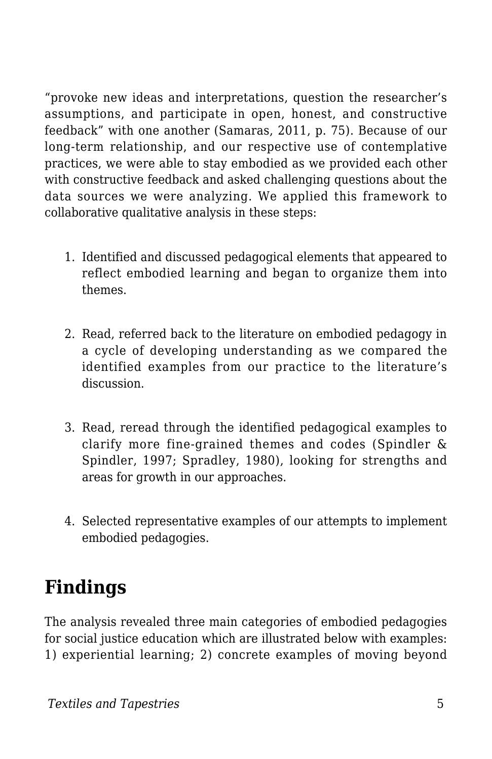"provoke new ideas and interpretations, question the researcher's assumptions, and participate in open, honest, and constructive feedback" with one another (Samaras, 2011, p. 75). Because of our long-term relationship, and our respective use of contemplative practices, we were able to stay embodied as we provided each other with constructive feedback and asked challenging questions about the data sources we were analyzing. We applied this framework to collaborative qualitative analysis in these steps:

- 1. Identified and discussed pedagogical elements that appeared to reflect embodied learning and began to organize them into themes.
- 2. Read, referred back to the literature on embodied pedagogy in a cycle of developing understanding as we compared the identified examples from our practice to the literature's discussion.
- 3. Read, reread through the identified pedagogical examples to clarify more fine-grained themes and codes (Spindler & Spindler, 1997; Spradley, 1980), looking for strengths and areas for growth in our approaches.
- 4. Selected representative examples of our attempts to implement embodied pedagogies.

### **Findings**

The analysis revealed three main categories of embodied pedagogies for social justice education which are illustrated below with examples: 1) experiential learning; 2) concrete examples of moving beyond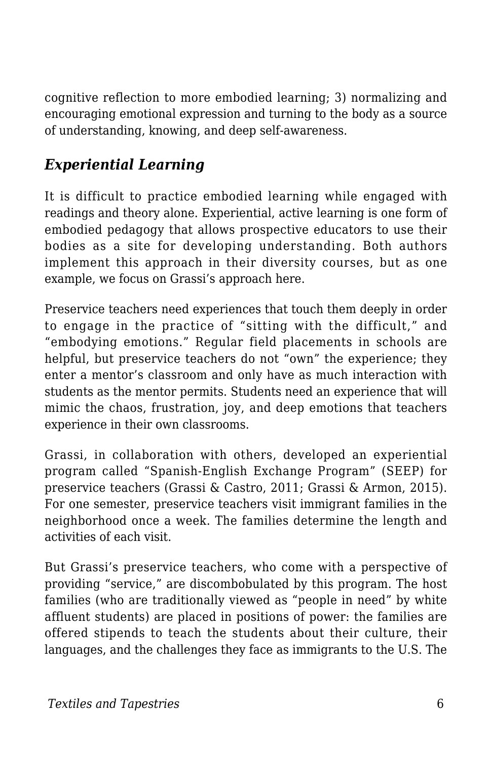cognitive reflection to more embodied learning; 3) normalizing and encouraging emotional expression and turning to the body as a source of understanding, knowing, and deep self-awareness.

#### *Experiential Learning*

It is difficult to practice embodied learning while engaged with readings and theory alone. Experiential, active learning is one form of embodied pedagogy that allows prospective educators to use their bodies as a site for developing understanding. Both authors implement this approach in their diversity courses, but as one example, we focus on Grassi's approach here.

Preservice teachers need experiences that touch them deeply in order to engage in the practice of "sitting with the difficult," and "embodying emotions." Regular field placements in schools are helpful, but preservice teachers do not "own" the experience; they enter a mentor's classroom and only have as much interaction with students as the mentor permits. Students need an experience that will mimic the chaos, frustration, joy, and deep emotions that teachers experience in their own classrooms.

Grassi, in collaboration with others, developed an experiential program called "Spanish-English Exchange Program" (SEEP) for preservice teachers (Grassi & Castro, 2011; Grassi & Armon, 2015). For one semester, preservice teachers visit immigrant families in the neighborhood once a week. The families determine the length and activities of each visit.

But Grassi's preservice teachers, who come with a perspective of providing "service," are discombobulated by this program. The host families (who are traditionally viewed as "people in need" by white affluent students) are placed in positions of power: the families are offered stipends to teach the students about their culture, their languages, and the challenges they face as immigrants to the U.S. The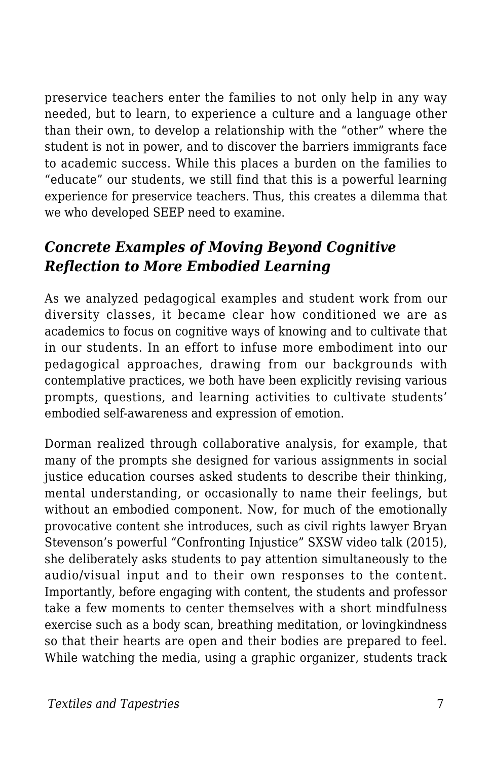preservice teachers enter the families to not only help in any way needed, but to learn, to experience a culture and a language other than their own, to develop a relationship with the "other" where the student is not in power, and to discover the barriers immigrants face to academic success. While this places a burden on the families to "educate" our students, we still find that this is a powerful learning experience for preservice teachers. Thus, this creates a dilemma that we who developed SEEP need to examine.

#### *Concrete Examples of Moving Beyond Cognitive Reflection to More Embodied Learning*

As we analyzed pedagogical examples and student work from our diversity classes, it became clear how conditioned we are as academics to focus on cognitive ways of knowing and to cultivate that in our students. In an effort to infuse more embodiment into our pedagogical approaches, drawing from our backgrounds with contemplative practices, we both have been explicitly revising various prompts, questions, and learning activities to cultivate students' embodied self-awareness and expression of emotion.

Dorman realized through collaborative analysis, for example, that many of the prompts she designed for various assignments in social justice education courses asked students to describe their thinking, mental understanding, or occasionally to name their feelings, but without an embodied component. Now, for much of the emotionally provocative content she introduces, such as civil rights lawyer Bryan Stevenson's powerful "Confronting Injustice" SXSW video talk (2015), she deliberately asks students to pay attention simultaneously to the audio/visual input and to their own responses to the content. Importantly, before engaging with content, the students and professor take a few moments to center themselves with a short mindfulness exercise such as a body scan, breathing meditation, or lovingkindness so that their hearts are open and their bodies are prepared to feel. While watching the media, using a graphic organizer, students track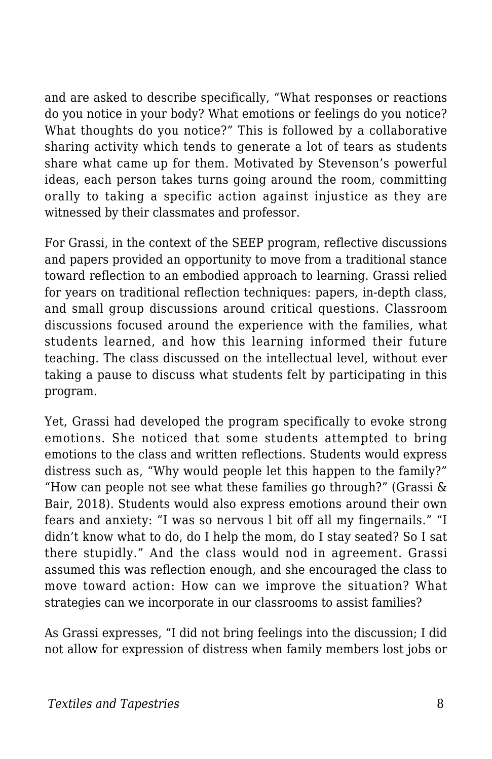and are asked to describe specifically, "What responses or reactions do you notice in your body? What emotions or feelings do you notice? What thoughts do you notice?" This is followed by a collaborative sharing activity which tends to generate a lot of tears as students share what came up for them. Motivated by Stevenson's powerful ideas, each person takes turns going around the room, committing orally to taking a specific action against injustice as they are witnessed by their classmates and professor.

For Grassi, in the context of the SEEP program, reflective discussions and papers provided an opportunity to move from a traditional stance toward reflection to an embodied approach to learning. Grassi relied for years on traditional reflection techniques: papers, in-depth class, and small group discussions around critical questions. Classroom discussions focused around the experience with the families, what students learned, and how this learning informed their future teaching. The class discussed on the intellectual level, without ever taking a pause to discuss what students felt by participating in this program.

Yet, Grassi had developed the program specifically to evoke strong emotions. She noticed that some students attempted to bring emotions to the class and written reflections. Students would express distress such as, "Why would people let this happen to the family?" "How can people not see what these families go through?" (Grassi & Bair, 2018). Students would also express emotions around their own fears and anxiety: "I was so nervous l bit off all my fingernails." "I didn't know what to do, do I help the mom, do I stay seated? So I sat there stupidly." And the class would nod in agreement. Grassi assumed this was reflection enough, and she encouraged the class to move toward action: How can we improve the situation? What strategies can we incorporate in our classrooms to assist families?

As Grassi expresses, "I did not bring feelings into the discussion; I did not allow for expression of distress when family members lost jobs or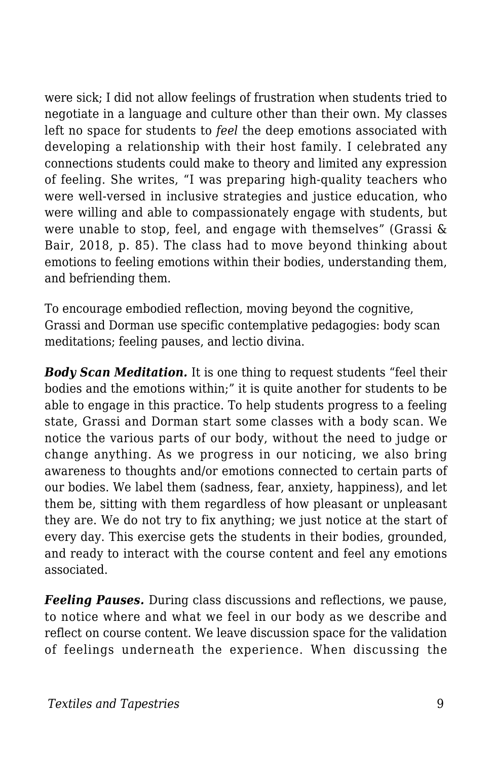were sick; I did not allow feelings of frustration when students tried to negotiate in a language and culture other than their own. My classes left no space for students to *feel* the deep emotions associated with developing a relationship with their host family. I celebrated any connections students could make to theory and limited any expression of feeling. She writes, "I was preparing high-quality teachers who were well-versed in inclusive strategies and justice education, who were willing and able to compassionately engage with students, but were unable to stop, feel, and engage with themselves" (Grassi & Bair, 2018, p. 85). The class had to move beyond thinking about emotions to feeling emotions within their bodies, understanding them, and befriending them.

To encourage embodied reflection, moving beyond the cognitive, Grassi and Dorman use specific contemplative pedagogies: body scan meditations; feeling pauses, and lectio divina.

*Body Scan Meditation.* It is one thing to request students "feel their bodies and the emotions within;" it is quite another for students to be able to engage in this practice. To help students progress to a feeling state, Grassi and Dorman start some classes with a body scan. We notice the various parts of our body, without the need to judge or change anything. As we progress in our noticing, we also bring awareness to thoughts and/or emotions connected to certain parts of our bodies. We label them (sadness, fear, anxiety, happiness), and let them be, sitting with them regardless of how pleasant or unpleasant they are. We do not try to fix anything; we just notice at the start of every day. This exercise gets the students in their bodies, grounded, and ready to interact with the course content and feel any emotions associated.

*Feeling Pauses.* During class discussions and reflections, we pause, to notice where and what we feel in our body as we describe and reflect on course content. We leave discussion space for the validation of feelings underneath the experience. When discussing the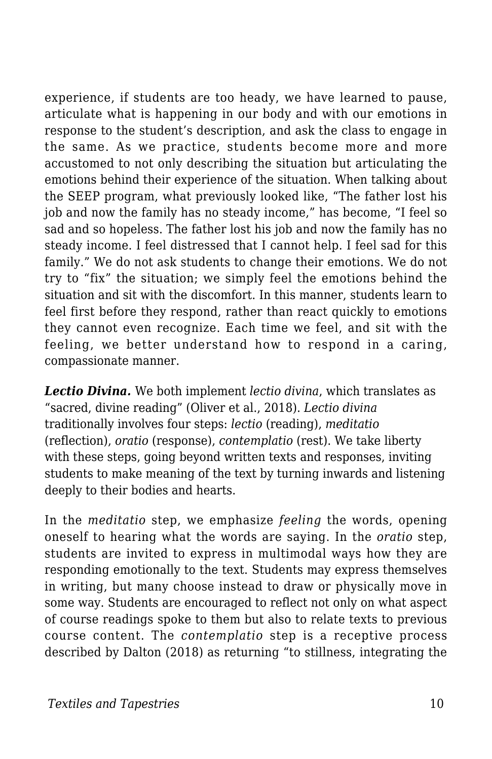experience, if students are too heady, we have learned to pause, articulate what is happening in our body and with our emotions in response to the student's description, and ask the class to engage in the same. As we practice, students become more and more accustomed to not only describing the situation but articulating the emotions behind their experience of the situation. When talking about the SEEP program, what previously looked like, "The father lost his job and now the family has no steady income," has become, "I feel so sad and so hopeless. The father lost his job and now the family has no steady income. I feel distressed that I cannot help. I feel sad for this family." We do not ask students to change their emotions. We do not try to "fix" the situation; we simply feel the emotions behind the situation and sit with the discomfort. In this manner, students learn to feel first before they respond, rather than react quickly to emotions they cannot even recognize. Each time we feel, and sit with the feeling, we better understand how to respond in a caring, compassionate manner.

*Lectio Divina.* We both implement *lectio divina*, which translates as "sacred, divine reading" (Oliver et al., 2018). *Lectio divina* traditionally involves four steps: *lectio* (reading), *meditatio* (reflection), *oratio* (response), *contemplatio* (rest). We take liberty with these steps, going beyond written texts and responses, inviting students to make meaning of the text by turning inwards and listening deeply to their bodies and hearts.

In the *meditatio* step, we emphasize *feeling* the words, opening oneself to hearing what the words are saying. In the *oratio* step, students are invited to express in multimodal ways how they are responding emotionally to the text. Students may express themselves in writing, but many choose instead to draw or physically move in some way. Students are encouraged to reflect not only on what aspect of course readings spoke to them but also to relate texts to previous course content. The *contemplatio* step is a receptive process described by Dalton (2018) as returning "to stillness, integrating the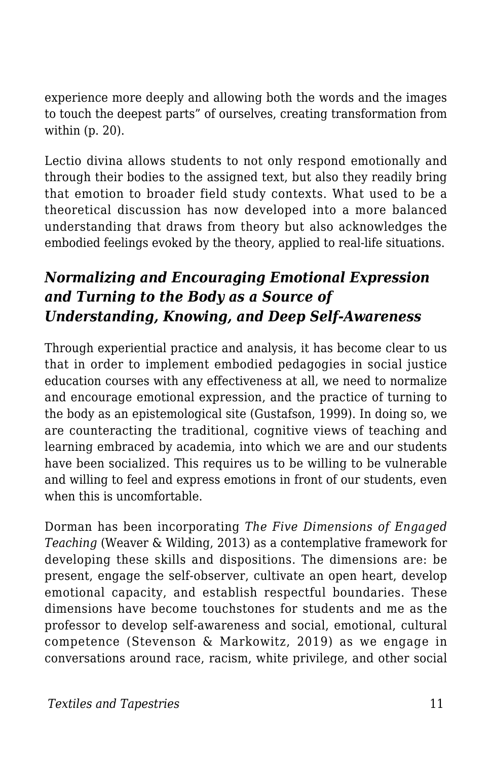experience more deeply and allowing both the words and the images to touch the deepest parts" of ourselves, creating transformation from within (p. 20).

Lectio divina allows students to not only respond emotionally and through their bodies to the assigned text, but also they readily bring that emotion to broader field study contexts. What used to be a theoretical discussion has now developed into a more balanced understanding that draws from theory but also acknowledges the embodied feelings evoked by the theory, applied to real-life situations.

#### *Normalizing and Encouraging Emotional Expression and Turning to the Body as a Source of Understanding, Knowing, and Deep Self-Awareness*

Through experiential practice and analysis, it has become clear to us that in order to implement embodied pedagogies in social justice education courses with any effectiveness at all, we need to normalize and encourage emotional expression, and the practice of turning to the body as an epistemological site (Gustafson, 1999). In doing so, we are counteracting the traditional, cognitive views of teaching and learning embraced by academia, into which we are and our students have been socialized. This requires us to be willing to be vulnerable and willing to feel and express emotions in front of our students, even when this is uncomfortable.

Dorman has been incorporating *The Five Dimensions of Engaged Teaching* (Weaver & Wilding, 2013) as a contemplative framework for developing these skills and dispositions. The dimensions are: be present, engage the self-observer, cultivate an open heart, develop emotional capacity, and establish respectful boundaries. These dimensions have become touchstones for students and me as the professor to develop self-awareness and social, emotional, cultural competence (Stevenson & Markowitz, 2019) as we engage in conversations around race, racism, white privilege, and other social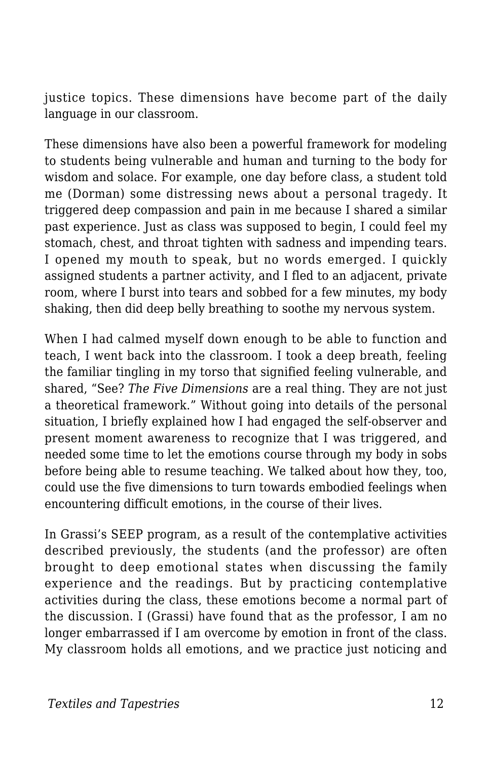justice topics. These dimensions have become part of the daily language in our classroom.

These dimensions have also been a powerful framework for modeling to students being vulnerable and human and turning to the body for wisdom and solace. For example, one day before class, a student told me (Dorman) some distressing news about a personal tragedy. It triggered deep compassion and pain in me because I shared a similar past experience. Just as class was supposed to begin, I could feel my stomach, chest, and throat tighten with sadness and impending tears. I opened my mouth to speak, but no words emerged. I quickly assigned students a partner activity, and I fled to an adjacent, private room, where I burst into tears and sobbed for a few minutes, my body shaking, then did deep belly breathing to soothe my nervous system.

When I had calmed myself down enough to be able to function and teach, I went back into the classroom. I took a deep breath, feeling the familiar tingling in my torso that signified feeling vulnerable, and shared, "See? *The Five Dimensions* are a real thing. They are not just a theoretical framework." Without going into details of the personal situation, I briefly explained how I had engaged the self-observer and present moment awareness to recognize that I was triggered, and needed some time to let the emotions course through my body in sobs before being able to resume teaching. We talked about how they, too, could use the five dimensions to turn towards embodied feelings when encountering difficult emotions, in the course of their lives.

In Grassi's SEEP program, as a result of the contemplative activities described previously, the students (and the professor) are often brought to deep emotional states when discussing the family experience and the readings. But by practicing contemplative activities during the class, these emotions become a normal part of the discussion. I (Grassi) have found that as the professor, I am no longer embarrassed if I am overcome by emotion in front of the class. My classroom holds all emotions, and we practice just noticing and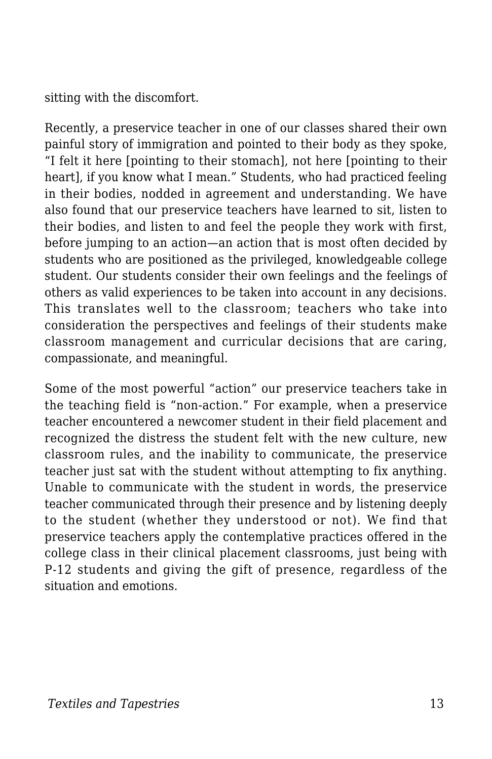sitting with the discomfort.

Recently, a preservice teacher in one of our classes shared their own painful story of immigration and pointed to their body as they spoke, "I felt it here [pointing to their stomach], not here [pointing to their heart], if you know what I mean." Students, who had practiced feeling in their bodies, nodded in agreement and understanding. We have also found that our preservice teachers have learned to sit, listen to their bodies, and listen to and feel the people they work with first, before jumping to an action—an action that is most often decided by students who are positioned as the privileged, knowledgeable college student. Our students consider their own feelings and the feelings of others as valid experiences to be taken into account in any decisions. This translates well to the classroom; teachers who take into consideration the perspectives and feelings of their students make classroom management and curricular decisions that are caring, compassionate, and meaningful.

Some of the most powerful "action" our preservice teachers take in the teaching field is "non-action." For example, when a preservice teacher encountered a newcomer student in their field placement and recognized the distress the student felt with the new culture, new classroom rules, and the inability to communicate, the preservice teacher just sat with the student without attempting to fix anything. Unable to communicate with the student in words, the preservice teacher communicated through their presence and by listening deeply to the student (whether they understood or not). We find that preservice teachers apply the contemplative practices offered in the college class in their clinical placement classrooms, just being with P-12 students and giving the gift of presence, regardless of the situation and emotions.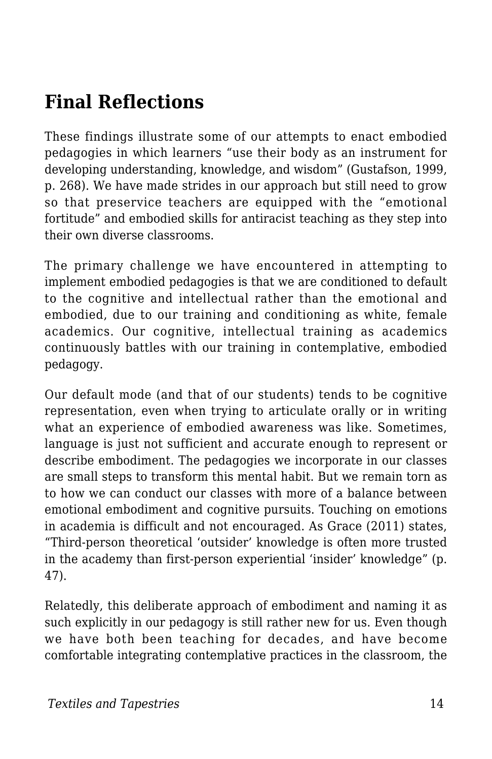## **Final Reflections**

These findings illustrate some of our attempts to enact embodied pedagogies in which learners "use their body as an instrument for developing understanding, knowledge, and wisdom" (Gustafson, 1999, p. 268). We have made strides in our approach but still need to grow so that preservice teachers are equipped with the "emotional fortitude" and embodied skills for antiracist teaching as they step into their own diverse classrooms.

The primary challenge we have encountered in attempting to implement embodied pedagogies is that we are conditioned to default to the cognitive and intellectual rather than the emotional and embodied, due to our training and conditioning as white, female academics. Our cognitive, intellectual training as academics continuously battles with our training in contemplative, embodied pedagogy.

Our default mode (and that of our students) tends to be cognitive representation, even when trying to articulate orally or in writing what an experience of embodied awareness was like. Sometimes, language is just not sufficient and accurate enough to represent or describe embodiment. The pedagogies we incorporate in our classes are small steps to transform this mental habit. But we remain torn as to how we can conduct our classes with more of a balance between emotional embodiment and cognitive pursuits. Touching on emotions in academia is difficult and not encouraged. As Grace (2011) states, "Third-person theoretical 'outsider' knowledge is often more trusted in the academy than first-person experiential 'insider' knowledge" (p. 47).

Relatedly, this deliberate approach of embodiment and naming it as such explicitly in our pedagogy is still rather new for us. Even though we have both been teaching for decades, and have become comfortable integrating contemplative practices in the classroom, the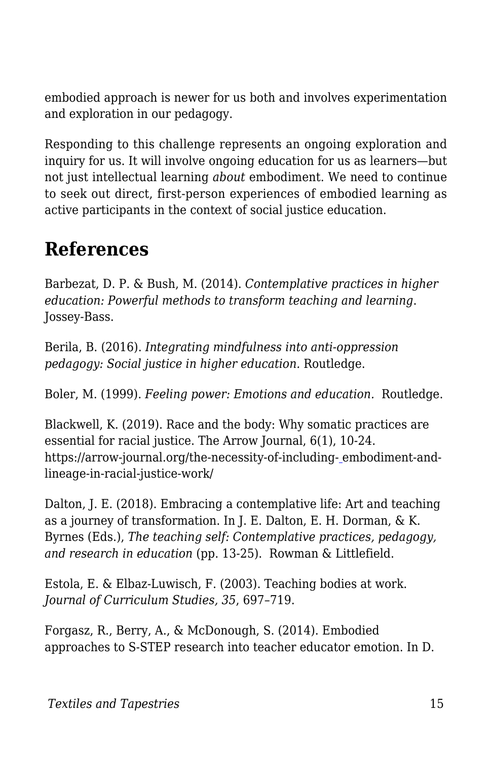embodied approach is newer for us both and involves experimentation and exploration in our pedagogy.

Responding to this challenge represents an ongoing exploration and inquiry for us. It will involve ongoing education for us as learners—but not just intellectual learning *about* embodiment. We need to continue to seek out direct, first-person experiences of embodied learning as active participants in the context of social justice education.

### **References**

Barbezat, D. P. & Bush, M. (2014). *Contemplative practices in higher education: Powerful methods to transform teaching and learning*. Jossey-Bass.

Berila, B. (2016). *Integrating mindfulness into anti-oppression pedagogy: Social justice in higher education.* Routledge.

Boler, M. (1999). *Feeling power: Emotions and education.* Routledge.

Blackwell, K. (2019). Race and the body: Why somatic practices are essential for racial justice. The Arrow Journal, 6(1), 10-24. https://arrow-journal.org/the-necessity-of-including- [e](https://arrow-journal.org/the-necessity-of-including-embodiment-and-lineage-in-racial-justice-work/)mbodiment-andlineage-in-racial-justice-work/

Dalton, J. E. (2018). Embracing a contemplative life: Art and teaching as a journey of transformation. In J. E. Dalton, E. H. Dorman, & K. Byrnes (Eds.), *The teaching self: Contemplative practices, pedagogy, and research in education* (pp. 13-25). Rowman & Littlefield.

Estola, E. & Elbaz-Luwisch, F. (2003). Teaching bodies at work. *Journal of Curriculum Studies, 35*, 697–719.

Forgasz, R., Berry, A., & McDonough, S. (2014). Embodied approaches to S-STEP research into teacher educator emotion. In D.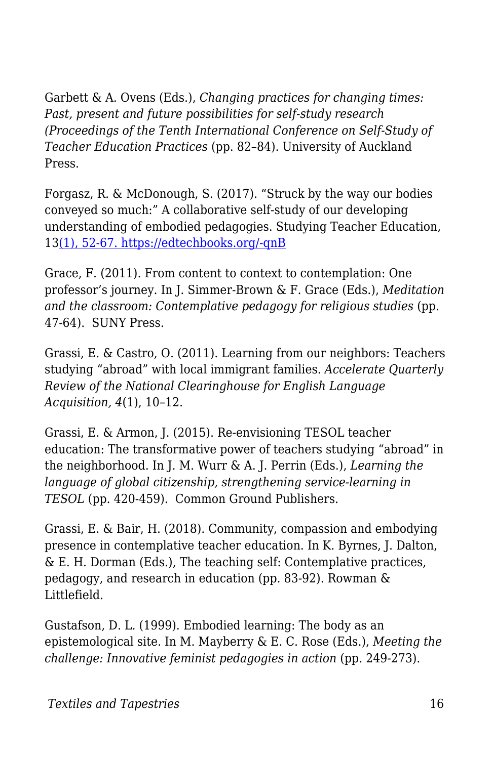Garbett & A. Ovens (Eds.), *Changing practices for changing times: Past, present and future possibilities for self-study research (Proceedings of the Tenth International Conference on Self-Study of Teacher Education Practices* (pp. 82–84). University of Auckland Press.

Forgasz, R. & McDonough, S. (2017). "Struck by the way our bodies conveyed so much:" A collaborative self-study of our developing understanding of embodied pedagogies. Studying Teacher Education, 1[3\(1\), 52-67. https://edtechbooks.org/-qnB](http://dx.doi.org/10.1080/17425964.2017.1286576)

Grace, F. (2011). From content to context to contemplation: One professor's journey. In J. Simmer-Brown & F. Grace (Eds.), *Meditation and the classroom: Contemplative pedagogy for religious studies* (pp. 47-64). SUNY Press.

Grassi, E. & Castro, O. (2011). Learning from our neighbors: Teachers studying "abroad" with local immigrant families. *Accelerate Quarterly Review of the National Clearinghouse for English Language Acquisition, 4*(1), 10–12.

Grassi, E. & Armon, J. (2015). Re-envisioning TESOL teacher education: The transformative power of teachers studying "abroad" in the neighborhood. In J. M. Wurr & A. J. Perrin (Eds.), *Learning the language of global citizenship, strengthening service-learning in TESOL* (pp. 420-459). Common Ground Publishers.

Grassi, E. & Bair, H. (2018). Community, compassion and embodying presence in contemplative teacher education. In K. Byrnes, J. Dalton, & E. H. Dorman (Eds.), The teaching self: Contemplative practices, pedagogy, and research in education (pp. 83-92). Rowman & Littlefield.

Gustafson, D. L. (1999). Embodied learning: The body as an epistemological site. In M. Mayberry & E. C. Rose (Eds.), *Meeting the challenge: Innovative feminist pedagogies in action* (pp. 249-273).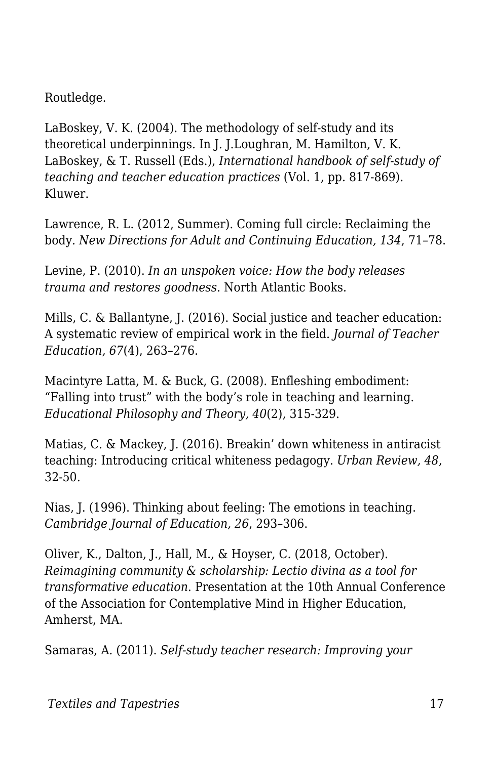Routledge.

LaBoskey, V. K. (2004). The methodology of self-study and its theoretical underpinnings. In J. J.Loughran, M. Hamilton, V. K. LaBoskey, & T. Russell (Eds.), *International handbook of self-study of teaching and teacher education practices* (Vol. 1, pp. 817-869). Kluwer.

Lawrence, R. L. (2012, Summer). Coming full circle: Reclaiming the body. *New Directions for Adult and Continuing Education, 134*, 71–78.

Levine, P. (2010). *In an unspoken voice: How the body releases trauma and restores goodness*. North Atlantic Books.

Mills, C. & Ballantyne, J. (2016). Social justice and teacher education: A systematic review of empirical work in the field. *Journal of Teacher Education, 67*(4), 263–276.

Macintyre Latta, M. & Buck, G. (2008). Enfleshing embodiment: "Falling into trust" with the body's role in teaching and learning. *Educational Philosophy and Theory, 40*(2), 315-329.

Matias, C. & Mackey, J. (2016). Breakin' down whiteness in antiracist teaching: Introducing critical whiteness pedagogy. *Urban Review, 48*, 32-50.

Nias, J. (1996). Thinking about feeling: The emotions in teaching. *Cambridge Journal of Education, 26*, 293–306.

Oliver, K., Dalton, J., Hall, M., & Hoyser, C. (2018, October). *Reimagining community & scholarship: Lectio divina as a tool for transformative education.* Presentation at the 10th Annual Conference of the Association for Contemplative Mind in Higher Education, Amherst, MA.

Samaras, A. (2011). *Self-study teacher research: Improving your*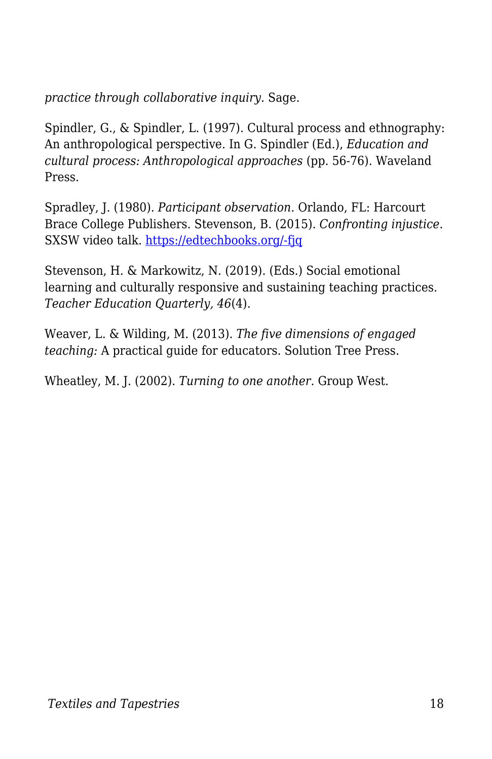*practice through collaborative inquiry.* Sage.

Spindler, G., & Spindler, L. (1997). Cultural process and ethnography: An anthropological perspective. In G. Spindler (Ed.), *Education and cultural process: Anthropological approaches* (pp. 56-76). Waveland Press.

Spradley, J. (1980). *Participant observation*. Orlando, FL: Harcourt Brace College Publishers. Stevenson, B. (2015). *Confronting injustice*. SXSW video talk. [https://edtechbooks.org/-fjq](https://www.youtube.com/watch?v=C-XIXkESlio&feature=youtu.be)

Stevenson, H. & Markowitz, N. (2019). (Eds.) Social emotional learning and culturally responsive and sustaining teaching practices. *Teacher Education Quarterly, 46*(4).

Weaver, L. & Wilding, M. (2013). *The five dimensions of engaged teaching:* A practical guide for educators. Solution Tree Press.

Wheatley, M. J. (2002). *Turning to one another.* Group West.